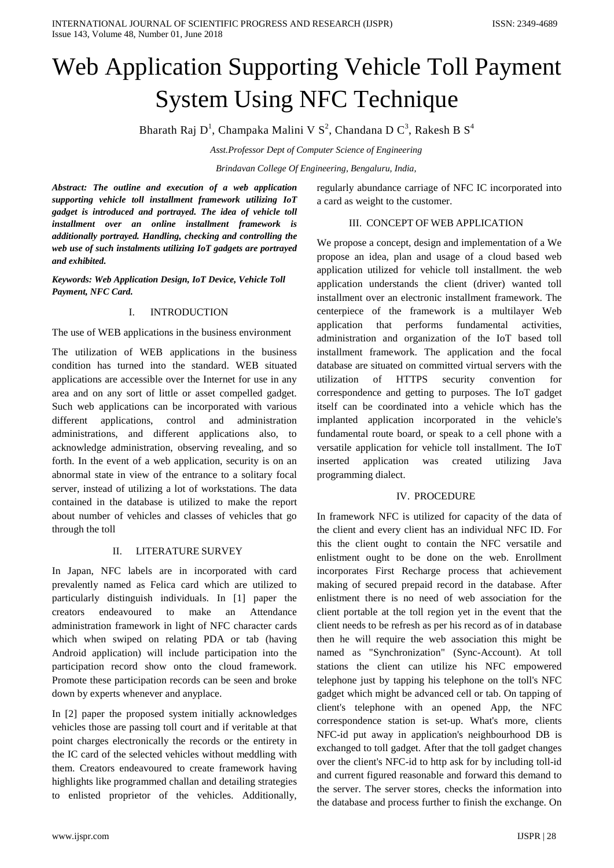# Web Application Supporting Vehicle Toll Payment System Using NFC Technique

Bharath Raj D<sup>1</sup>, Champaka Malini V S<sup>2</sup>, Chandana D C<sup>3</sup>, Rakesh B S<sup>4</sup>

*Asst.Professor Dept of Computer Science of Engineering*

*Brindavan College Of Engineering, Bengaluru, India,* 

*Abstract: The outline and execution of a web application supporting vehicle toll installment framework utilizing IoT gadget is introduced and portrayed. The idea of vehicle toll installment over an online installment framework is additionally portrayed. Handling, checking and controlling the web use of such instalments utilizing IoT gadgets are portrayed and exhibited.*

*Keywords: Web Application Design, IoT Device, Vehicle Toll Payment, NFC Card.*

## I. INTRODUCTION

The use of WEB applications in the business environment

The utilization of WEB applications in the business condition has turned into the standard. WEB situated applications are accessible over the Internet for use in any area and on any sort of little or asset compelled gadget. Such web applications can be incorporated with various different applications, control and administration administrations, and different applications also, to acknowledge administration, observing revealing, and so forth. In the event of a web application, security is on an abnormal state in view of the entrance to a solitary focal server, instead of utilizing a lot of workstations. The data contained in the database is utilized to make the report about number of vehicles and classes of vehicles that go through the toll

## II. LITERATURE SURVEY

In Japan, NFC labels are in incorporated with card prevalently named as Felica card which are utilized to particularly distinguish individuals. In [1] paper the creators endeavoured to make an Attendance administration framework in light of NFC character cards which when swiped on relating PDA or tab (having Android application) will include participation into the participation record show onto the cloud framework. Promote these participation records can be seen and broke down by experts whenever and anyplace.

In [2] paper the proposed system initially acknowledges vehicles those are passing toll court and if veritable at that point charges electronically the records or the entirety in the IC card of the selected vehicles without meddling with them. Creators endeavoured to create framework having highlights like programmed challan and detailing strategies to enlisted proprietor of the vehicles. Additionally,

regularly abundance carriage of NFC IC incorporated into a card as weight to the customer.

## III. CONCEPT OF WEB APPLICATION

We propose a concept, design and implementation of a We propose an idea, plan and usage of a cloud based web application utilized for vehicle toll installment. the web application understands the client (driver) wanted toll installment over an electronic installment framework. The centerpiece of the framework is a multilayer Web application that performs fundamental activities, administration and organization of the IoT based toll installment framework. The application and the focal database are situated on committed virtual servers with the utilization of HTTPS security convention for correspondence and getting to purposes. The IoT gadget itself can be coordinated into a vehicle which has the implanted application incorporated in the vehicle's fundamental route board, or speak to a cell phone with a versatile application for vehicle toll installment. The IoT inserted application was created utilizing Java programming dialect.

## IV. PROCEDURE

In framework NFC is utilized for capacity of the data of the client and every client has an individual NFC ID. For this the client ought to contain the NFC versatile and enlistment ought to be done on the web. Enrollment incorporates First Recharge process that achievement making of secured prepaid record in the database. After enlistment there is no need of web association for the client portable at the toll region yet in the event that the client needs to be refresh as per his record as of in database then he will require the web association this might be named as "Synchronization" (Sync-Account). At toll stations the client can utilize his NFC empowered telephone just by tapping his telephone on the toll's NFC gadget which might be advanced cell or tab. On tapping of client's telephone with an opened App, the NFC correspondence station is set-up. What's more, clients NFC-id put away in application's neighbourhood DB is exchanged to toll gadget. After that the toll gadget changes over the client's NFC-id to http ask for by including toll-id and current figured reasonable and forward this demand to the server. The server stores, checks the information into the database and process further to finish the exchange. On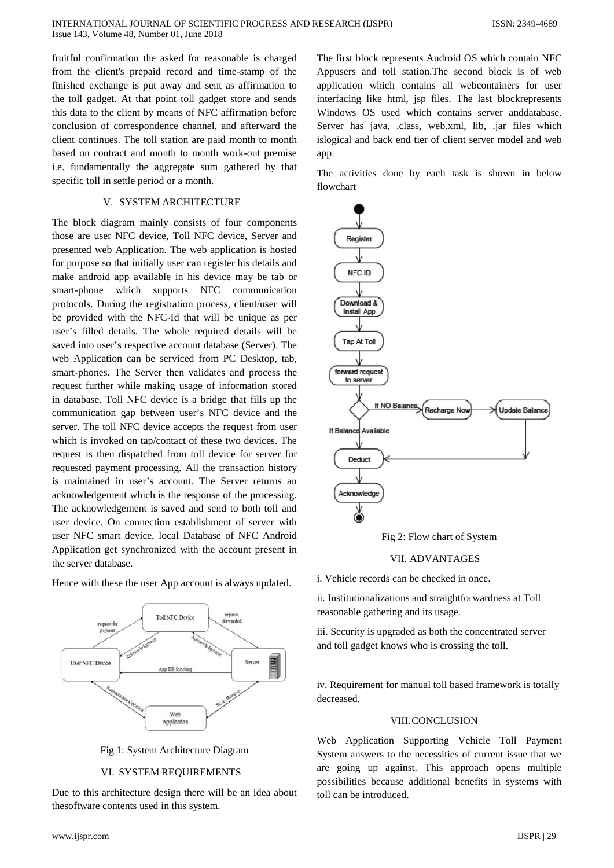fruitful confirmation the asked for reasonable is charged from the client's prepaid record and time-stamp of the finished exchange is put away and sent as affirmation to the toll gadget. At that point toll gadget store and sends this data to the client by means of NFC affirmation before conclusion of correspondence channel, and afterward the client continues. The toll station are paid month to month based on contract and month to month work-out premise i.e. fundamentally the aggregate sum gathered by that specific toll in settle period or a month.

#### V. SYSTEM ARCHITECTURE

The block diagram mainly consists of four components those are user NFC device, Toll NFC device, Server and presented web Application. The web application is hosted for purpose so that initially user can register his details and make android app available in his device may be tab or smart-phone which supports NFC communication protocols. During the registration process, client/user will be provided with the NFC-Id that will be unique as per user's filled details. The whole required details will be saved into user's respective account database (Server). The web Application can be serviced from PC Desktop, tab, smart-phones. The Server then validates and process the request further while making usage of information stored in database. Toll NFC device is a bridge that fills up the communication gap between user's NFC device and the server. The toll NFC device accepts the request from user which is invoked on tap/contact of these two devices. The request is then dispatched from toll device for server for requested payment processing. All the transaction history is maintained in user's account. The Server returns an acknowledgement which is the response of the processing. The acknowledgement is saved and send to both toll and user device. On connection establishment of server with user NFC smart device, local Database of NFC Android Application get synchronized with the account present in the server database.

Hence with these the user App account is always updated.



Fig 1: System Architecture Diagram

### VI. SYSTEM REQUIREMENTS

Due to this architecture design there will be an idea about thesoftware contents used in this system.

The first block represents Android OS which contain NFC Appusers and toll station.The second block is of web application which contains all webcontainers for user interfacing like html, jsp files. The last blockrepresents Windows OS used which contains server anddatabase. Server has java, .class, web.xml, lib, .jar files which islogical and back end tier of client server model and web app.

The activities done by each task is shown in below flowchart



Fig 2: Flow chart of System

#### VII. ADVANTAGES

i. Vehicle records can be checked in once.

ii. Institutionalizations and straightforwardness at Toll reasonable gathering and its usage.

iii. Security is upgraded as both the concentrated server and toll gadget knows who is crossing the toll.

iv. Requirement for manual toll based framework is totally decreased.

### VIII.CONCLUSION

Web Application Supporting Vehicle Toll Payment System answers to the necessities of current issue that we are going up against. This approach opens multiple possibilities because additional benefits in systems with toll can be introduced.